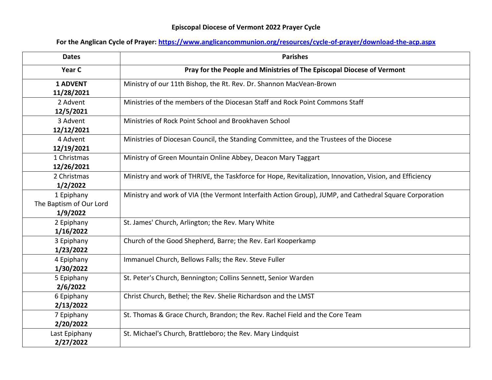## **Episcopal Diocese of Vermont 2022 Prayer Cycle**

## **For the Anglican Cycle of Prayer:<https://www.anglicancommunion.org/resources/cycle-of-prayer/download-the-acp.aspx>**

| <b>Dates</b>                                      | <b>Parishes</b>                                                                                         |
|---------------------------------------------------|---------------------------------------------------------------------------------------------------------|
| Year C                                            | Pray for the People and Ministries of The Episcopal Diocese of Vermont                                  |
| <b>1 ADVENT</b><br>11/28/2021                     | Ministry of our 11th Bishop, the Rt. Rev. Dr. Shannon MacVean-Brown                                     |
| 2 Advent<br>12/5/2021                             | Ministries of the members of the Diocesan Staff and Rock Point Commons Staff                            |
| 3 Advent<br>12/12/2021                            | Ministries of Rock Point School and Brookhaven School                                                   |
| 4 Advent<br>12/19/2021                            | Ministries of Diocesan Council, the Standing Committee, and the Trustees of the Diocese                 |
| 1 Christmas<br>12/26/2021                         | Ministry of Green Mountain Online Abbey, Deacon Mary Taggart                                            |
| 2 Christmas<br>1/2/2022                           | Ministry and work of THRIVE, the Taskforce for Hope, Revitalization, Innovation, Vision, and Efficiency |
| 1 Epiphany<br>The Baptism of Our Lord<br>1/9/2022 | Ministry and work of VIA (the Vermont Interfaith Action Group), JUMP, and Cathedral Square Corporation  |
| 2 Epiphany<br>1/16/2022                           | St. James' Church, Arlington; the Rev. Mary White                                                       |
| 3 Epiphany<br>1/23/2022                           | Church of the Good Shepherd, Barre; the Rev. Earl Kooperkamp                                            |
| 4 Epiphany<br>1/30/2022                           | Immanuel Church, Bellows Falls; the Rev. Steve Fuller                                                   |
| 5 Epiphany<br>2/6/2022                            | St. Peter's Church, Bennington; Collins Sennett, Senior Warden                                          |
| 6 Epiphany<br>2/13/2022                           | Christ Church, Bethel; the Rev. Shelie Richardson and the LMST                                          |
| 7 Epiphany<br>2/20/2022                           | St. Thomas & Grace Church, Brandon; the Rev. Rachel Field and the Core Team                             |
| Last Epiphany<br>2/27/2022                        | St. Michael's Church, Brattleboro; the Rev. Mary Lindquist                                              |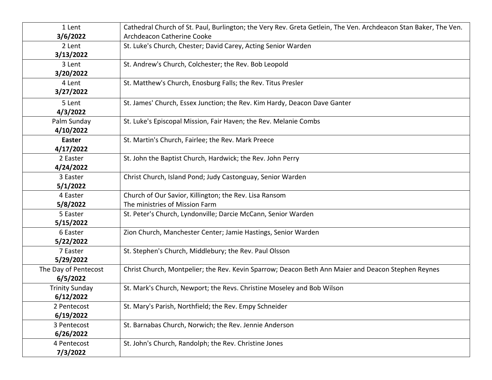| 1 Lent                | Cathedral Church of St. Paul, Burlington; the Very Rev. Greta Getlein, The Ven. Archdeacon Stan Baker, The Ven. |
|-----------------------|-----------------------------------------------------------------------------------------------------------------|
| 3/6/2022              | Archdeacon Catherine Cooke                                                                                      |
| 2 Lent                | St. Luke's Church, Chester; David Carey, Acting Senior Warden                                                   |
| 3/13/2022             |                                                                                                                 |
| 3 Lent                | St. Andrew's Church, Colchester; the Rev. Bob Leopold                                                           |
| 3/20/2022             |                                                                                                                 |
| 4 Lent                | St. Matthew's Church, Enosburg Falls; the Rev. Titus Presler                                                    |
| 3/27/2022             |                                                                                                                 |
| 5 Lent                | St. James' Church, Essex Junction; the Rev. Kim Hardy, Deacon Dave Ganter                                       |
| 4/3/2022              |                                                                                                                 |
| Palm Sunday           | St. Luke's Episcopal Mission, Fair Haven; the Rev. Melanie Combs                                                |
| 4/10/2022             |                                                                                                                 |
| <b>Easter</b>         | St. Martin's Church, Fairlee; the Rev. Mark Preece                                                              |
| 4/17/2022             |                                                                                                                 |
| 2 Easter              | St. John the Baptist Church, Hardwick; the Rev. John Perry                                                      |
| 4/24/2022             |                                                                                                                 |
| 3 Easter              | Christ Church, Island Pond; Judy Castonguay, Senior Warden                                                      |
| 5/1/2022              |                                                                                                                 |
| 4 Easter              | Church of Our Savior, Killington; the Rev. Lisa Ransom                                                          |
| 5/8/2022              | The ministries of Mission Farm                                                                                  |
| 5 Easter              | St. Peter's Church, Lyndonville; Darcie McCann, Senior Warden                                                   |
| 5/15/2022             |                                                                                                                 |
| 6 Easter              | Zion Church, Manchester Center; Jamie Hastings, Senior Warden                                                   |
| 5/22/2022             |                                                                                                                 |
| 7 Easter              | St. Stephen's Church, Middlebury; the Rev. Paul Olsson                                                          |
| 5/29/2022             |                                                                                                                 |
| The Day of Pentecost  | Christ Church, Montpelier; the Rev. Kevin Sparrow; Deacon Beth Ann Maier and Deacon Stephen Reynes              |
| 6/5/2022              |                                                                                                                 |
| <b>Trinity Sunday</b> | St. Mark's Church, Newport; the Revs. Christine Moseley and Bob Wilson                                          |
| 6/12/2022             |                                                                                                                 |
| 2 Pentecost           | St. Mary's Parish, Northfield; the Rev. Empy Schneider                                                          |
| 6/19/2022             |                                                                                                                 |
| 3 Pentecost           | St. Barnabas Church, Norwich; the Rev. Jennie Anderson                                                          |
| 6/26/2022             |                                                                                                                 |
| 4 Pentecost           | St. John's Church, Randolph; the Rev. Christine Jones                                                           |
| 7/3/2022              |                                                                                                                 |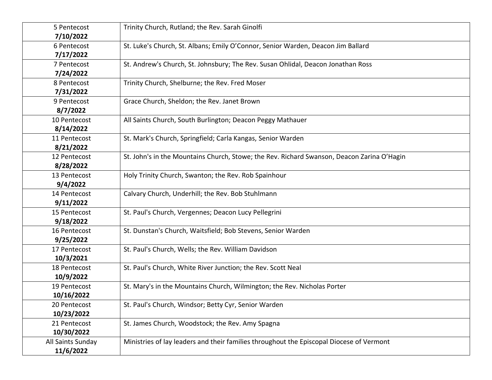| 5 Pentecost<br>7/10/2022       | Trinity Church, Rutland; the Rev. Sarah Ginolfi                                            |
|--------------------------------|--------------------------------------------------------------------------------------------|
| 6 Pentecost<br>7/17/2022       | St. Luke's Church, St. Albans; Emily O'Connor, Senior Warden, Deacon Jim Ballard           |
| 7 Pentecost<br>7/24/2022       | St. Andrew's Church, St. Johnsbury; The Rev. Susan Ohlidal, Deacon Jonathan Ross           |
| 8 Pentecost<br>7/31/2022       | Trinity Church, Shelburne; the Rev. Fred Moser                                             |
| 9 Pentecost<br>8/7/2022        | Grace Church, Sheldon; the Rev. Janet Brown                                                |
| 10 Pentecost<br>8/14/2022      | All Saints Church, South Burlington; Deacon Peggy Mathauer                                 |
| 11 Pentecost<br>8/21/2022      | St. Mark's Church, Springfield; Carla Kangas, Senior Warden                                |
| 12 Pentecost<br>8/28/2022      | St. John's in the Mountains Church, Stowe; the Rev. Richard Swanson, Deacon Zarina O'Hagin |
| 13 Pentecost<br>9/4/2022       | Holy Trinity Church, Swanton; the Rev. Rob Spainhour                                       |
| 14 Pentecost<br>9/11/2022      | Calvary Church, Underhill; the Rev. Bob Stuhlmann                                          |
| 15 Pentecost<br>9/18/2022      | St. Paul's Church, Vergennes; Deacon Lucy Pellegrini                                       |
| 16 Pentecost<br>9/25/2022      | St. Dunstan's Church, Waitsfield; Bob Stevens, Senior Warden                               |
| 17 Pentecost<br>10/3/2021      | St. Paul's Church, Wells; the Rev. William Davidson                                        |
| 18 Pentecost<br>10/9/2022      | St. Paul's Church, White River Junction; the Rev. Scott Neal                               |
| 19 Pentecost<br>10/16/2022     | St. Mary's in the Mountains Church, Wilmington; the Rev. Nicholas Porter                   |
| 20 Pentecost<br>10/23/2022     | St. Paul's Church, Windsor; Betty Cyr, Senior Warden                                       |
| 21 Pentecost<br>10/30/2022     | St. James Church, Woodstock; the Rev. Amy Spagna                                           |
| All Saints Sunday<br>11/6/2022 | Ministries of lay leaders and their families throughout the Episcopal Diocese of Vermont   |